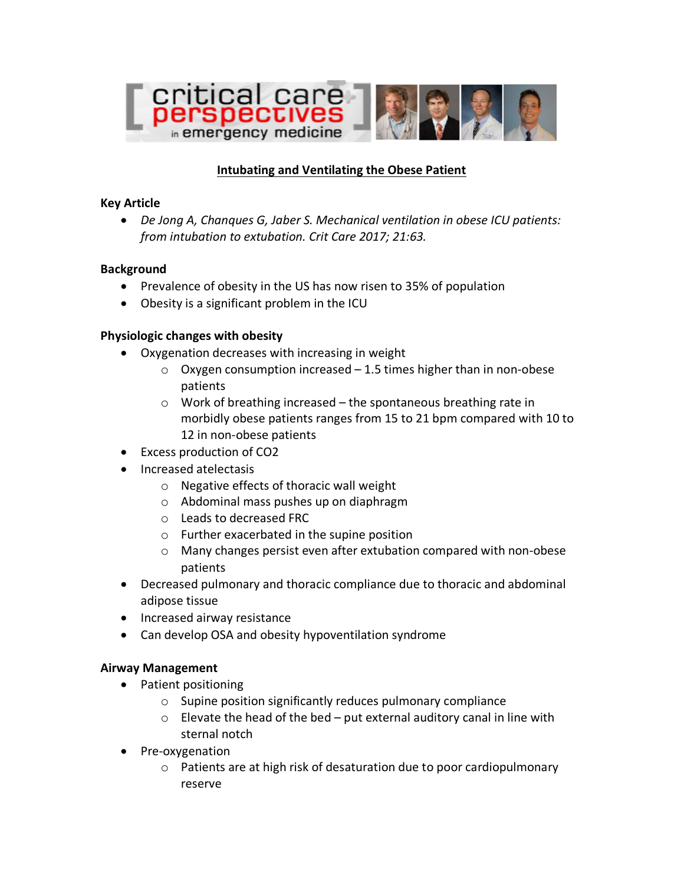

# **Intubating and Ventilating the Obese Patient**

### **Key Article**

• *De Jong A, Chanques G, Jaber S. Mechanical ventilation in obese ICU patients: from intubation to extubation. Crit Care 2017; 21:63.*

### **Background**

- Prevalence of obesity in the US has now risen to 35% of population
- Obesity is a significant problem in the ICU

### **Physiologic changes with obesity**

- Oxygenation decreases with increasing in weight
	- $\circ$  Oxygen consumption increased 1.5 times higher than in non-obese patients
	- o Work of breathing increased the spontaneous breathing rate in morbidly obese patients ranges from 15 to 21 bpm compared with 10 to 12 in non-obese patients
- Excess production of CO2
- Increased atelectasis
	- o Negative effects of thoracic wall weight
	- o Abdominal mass pushes up on diaphragm
	- o Leads to decreased FRC
	- o Further exacerbated in the supine position
	- o Many changes persist even after extubation compared with non-obese patients
- Decreased pulmonary and thoracic compliance due to thoracic and abdominal adipose tissue
- Increased airway resistance
- Can develop OSA and obesity hypoventilation syndrome

## **Airway Management**

- Patient positioning
	- o Supine position significantly reduces pulmonary compliance
	- $\circ$  Elevate the head of the bed put external auditory canal in line with sternal notch
- Pre-oxygenation
	- o Patients are at high risk of desaturation due to poor cardiopulmonary reserve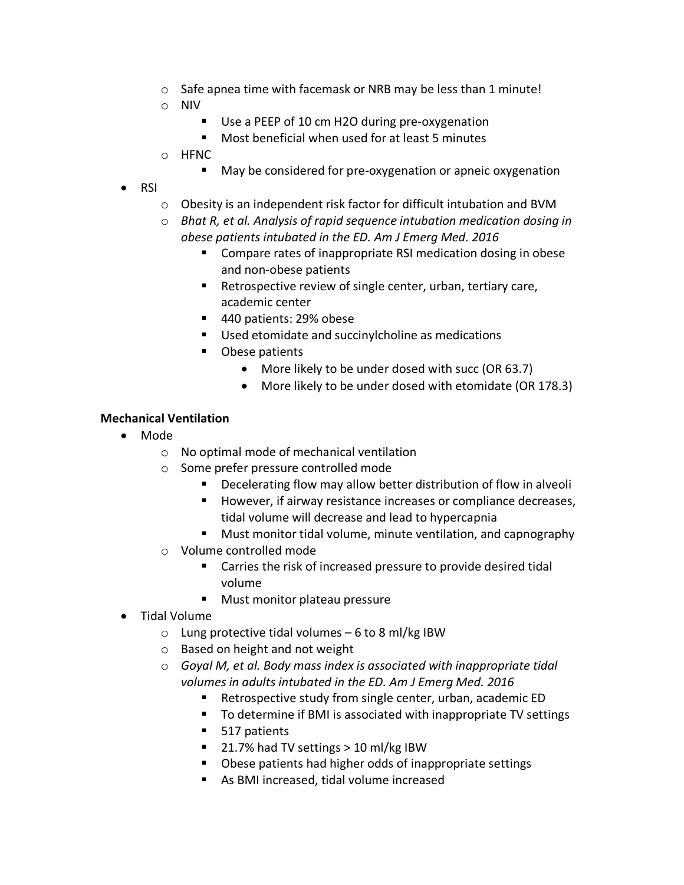- o Safe apnea time with facemask or NRB may be less than 1 minute!
- o NIV
	- Use a PEEP of 10 cm H2O during pre-oxygenation
	- Most beneficial when used for at least 5 minutes
- o HFNC
	- May be considered for pre-oxygenation or apneic oxygenation
- RSI
	- o Obesity is an independent risk factor for difficult intubation and BVM
	- o *Bhat R, et al. Analysis of rapid sequence intubation medication dosing in obese patients intubated in the ED. Am J Emerg Med. 2016*
		- Compare rates of inappropriate RSI medication dosing in obese and non-obese patients
		- Retrospective review of single center, urban, tertiary care, academic center
		- 440 patients: 29% obese
		- Used etomidate and succinylcholine as medications
		- Obese patients
			- More likely to be under dosed with succ (OR 63.7)
			- More likely to be under dosed with etomidate (OR 178.3)

### **Mechanical Ventilation**

- Mode
	- o No optimal mode of mechanical ventilation
	- o Some prefer pressure controlled mode
		- Decelerating flow may allow better distribution of flow in alveoli
		- However, if airway resistance increases or compliance decreases, tidal volume will decrease and lead to hypercapnia
		- Must monitor tidal volume, minute ventilation, and capnography
	- o Volume controlled mode
		- Carries the risk of increased pressure to provide desired tidal volume
		- Must monitor plateau pressure
- Tidal Volume
	- $\circ$  Lung protective tidal volumes 6 to 8 ml/kg IBW
	- o Based on height and not weight
	- o *Goyal M, et al. Body mass index is associated with inappropriate tidal volumes in adults intubated in the ED. Am J Emerg Med. 2016*
		- Retrospective study from single center, urban, academic ED
		- To determine if BMI is associated with inappropriate TV settings
		- § 517 patients
		- 21.7% had TV settings > 10 ml/kg IBW
		- Obese patients had higher odds of inappropriate settings
		- As BMI increased, tidal volume increased